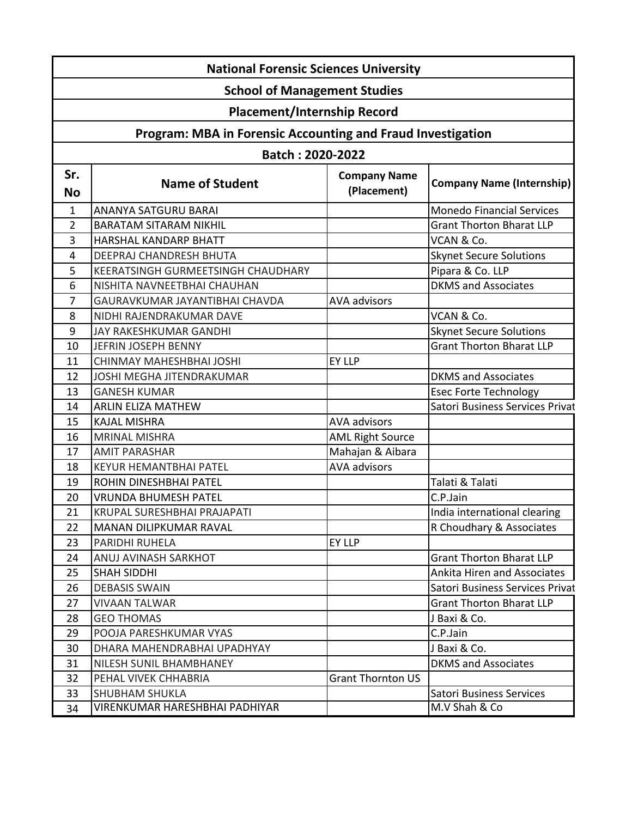| <b>National Forensic Sciences University</b>                |                                    |                                    |                                  |  |  |
|-------------------------------------------------------------|------------------------------------|------------------------------------|----------------------------------|--|--|
| <b>School of Management Studies</b>                         |                                    |                                    |                                  |  |  |
| <b>Placement/Internship Record</b>                          |                                    |                                    |                                  |  |  |
| Program: MBA in Forensic Accounting and Fraud Investigation |                                    |                                    |                                  |  |  |
| Batch: 2020-2022                                            |                                    |                                    |                                  |  |  |
| Sr.<br><b>No</b>                                            | <b>Name of Student</b>             | <b>Company Name</b><br>(Placement) | <b>Company Name (Internship)</b> |  |  |
| 1                                                           | ANANYA SATGURU BARAI               |                                    | <b>Monedo Financial Services</b> |  |  |
| $\overline{2}$                                              | <b>BARATAM SITARAM NIKHIL</b>      |                                    | <b>Grant Thorton Bharat LLP</b>  |  |  |
| 3                                                           | HARSHAL KANDARP BHATT              |                                    | VCAN & Co.                       |  |  |
| 4                                                           | DEEPRAJ CHANDRESH BHUTA            |                                    | <b>Skynet Secure Solutions</b>   |  |  |
| 5                                                           | KEERATSINGH GURMEETSINGH CHAUDHARY |                                    | Pipara & Co. LLP                 |  |  |
| 6                                                           | NISHITA NAVNEETBHAI CHAUHAN        |                                    | <b>DKMS</b> and Associates       |  |  |
| 7                                                           | GAURAVKUMAR JAYANTIBHAI CHAVDA     | <b>AVA advisors</b>                |                                  |  |  |
| 8                                                           | NIDHI RAJENDRAKUMAR DAVE           |                                    | VCAN & Co.                       |  |  |
| 9                                                           | JAY RAKESHKUMAR GANDHI             |                                    | <b>Skynet Secure Solutions</b>   |  |  |
| 10                                                          | JEFRIN JOSEPH BENNY                |                                    | <b>Grant Thorton Bharat LLP</b>  |  |  |
| 11                                                          | CHINMAY MAHESHBHAI JOSHI           | EY LLP                             |                                  |  |  |
| 12                                                          | <b>JOSHI MEGHA JITENDRAKUMAR</b>   |                                    | <b>DKMS</b> and Associates       |  |  |
| 13                                                          | <b>GANESH KUMAR</b>                |                                    | <b>Esec Forte Technology</b>     |  |  |
| 14                                                          | <b>ARLIN ELIZA MATHEW</b>          |                                    | Satori Business Services Privat  |  |  |
| 15                                                          | <b>KAJAL MISHRA</b>                | <b>AVA advisors</b>                |                                  |  |  |
| 16                                                          | <b>MRINAL MISHRA</b>               | <b>AML Right Source</b>            |                                  |  |  |
| 17                                                          | <b>AMIT PARASHAR</b>               | Mahajan & Aibara                   |                                  |  |  |
| 18                                                          | <b>KEYUR HEMANTBHAI PATEL</b>      | <b>AVA advisors</b>                |                                  |  |  |
| 19                                                          | ROHIN DINESHBHAI PATEL             |                                    | Talati & Talati                  |  |  |
| 20                                                          | <b>VRUNDA BHUMESH PATEL</b>        |                                    | C.P.Jain                         |  |  |
| 21                                                          | KRUPAL SURESHBHAI PRAJAPATI        |                                    | India international clearing     |  |  |
| 22                                                          | MANAN DILIPKUMAR RAVAL             |                                    | R Choudhary & Associates         |  |  |
| 23                                                          | PARIDHI RUHELA                     | EY LLP                             |                                  |  |  |
| 24                                                          | ANUJ AVINASH SARKHOT               |                                    | <b>Grant Thorton Bharat LLP</b>  |  |  |
| 25                                                          | <b>SHAH SIDDHI</b>                 |                                    | Ankita Hiren and Associates      |  |  |
| 26                                                          | <b>DEBASIS SWAIN</b>               |                                    | Satori Business Services Privat  |  |  |
| 27                                                          | <b>VIVAAN TALWAR</b>               |                                    | <b>Grant Thorton Bharat LLP</b>  |  |  |
| 28                                                          | <b>GEO THOMAS</b>                  |                                    | J Baxi & Co.                     |  |  |
| 29                                                          | POOJA PARESHKUMAR VYAS             |                                    | C.P.Jain                         |  |  |
| 30                                                          | DHARA MAHENDRABHAI UPADHYAY        |                                    | J Baxi & Co.                     |  |  |
| 31                                                          | NILESH SUNIL BHAMBHANEY            |                                    | <b>DKMS</b> and Associates       |  |  |
| 32                                                          | PEHAL VIVEK CHHABRIA               | <b>Grant Thornton US</b>           |                                  |  |  |
| 33                                                          | <b>SHUBHAM SHUKLA</b>              |                                    | <b>Satori Business Services</b>  |  |  |
| 34                                                          | VIRENKUMAR HARESHBHAI PADHIYAR     |                                    | M.V Shah & Co                    |  |  |